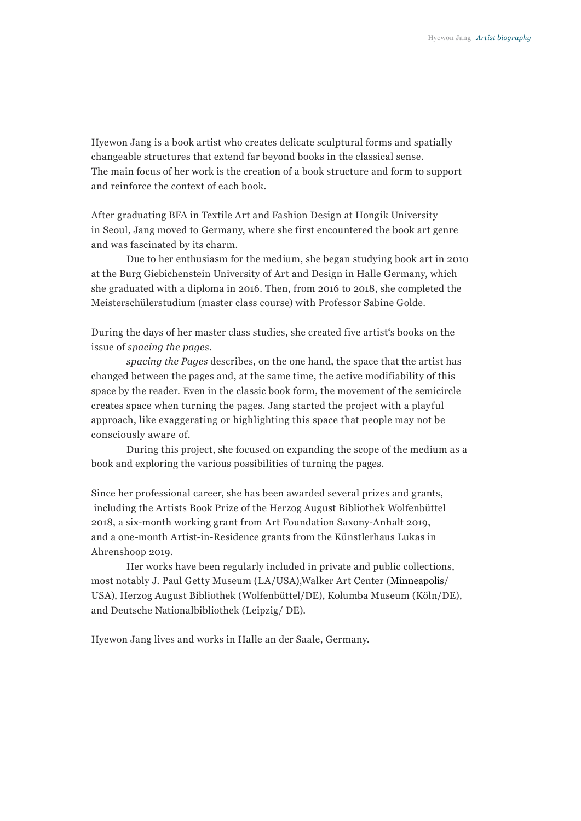Hyewon Jang is a book artist who creates delicate sculptural forms and spatially changeable structures that extend far beyond books in the classical sense. The main focus of her work is the creation of a book structure and form to support and reinforce the context of each book.

After graduating BFA in Textile Art and Fashion Design at Hongik University in Seoul, Jang moved to Germany, where she first encountered the book art genre and was fascinated by its charm.

Due to her enthusiasm for the medium, she began studying book art in 2010 at the Burg Giebichenstein University of Art and Design in Halle Germany, which she graduated with a diploma in 2016. Then, from 2016 to 2018, she completed the Meisterschülerstudium (master class course) with Professor Sabine Golde.

During the days of her master class studies, she created five artist's books on the issue of *spacing the pages*.

*spacing the Pages* describes, on the one hand, the space that the artist has changed between the pages and, at the same time, the active modifiability of this space by the reader. Even in the classic book form, the movement of the semicircle creates space when turning the pages. Jang started the project with a playful approach, like exaggerating or highlighting this space that people may not be consciously aware of.

During this project, she focused on expanding the scope of the medium as a book and exploring the various possibilities of turning the pages.

Since her professional career, she has been awarded several prizes and grants, including the Artists Book Prize of the Herzog August Bibliothek Wolfenbüttel 2018, a six-month working grant from Art Foundation Saxony-Anhalt 2019, and a one-month Artist-in-Residence grants from the Künstlerhaus Lukas in Ahrenshoop 2019.

Her works have been regularly included in private and public collections, most notably J. Paul Getty Museum (LA/USA),Walker Art Center (Minneapolis/ USA), Herzog August Bibliothek (Wolfenbüttel/DE), Kolumba Museum (Köln/DE), and Deutsche Nationalbibliothek (Leipzig/ DE).

Hyewon Jang lives and works in Halle an der Saale, Germany.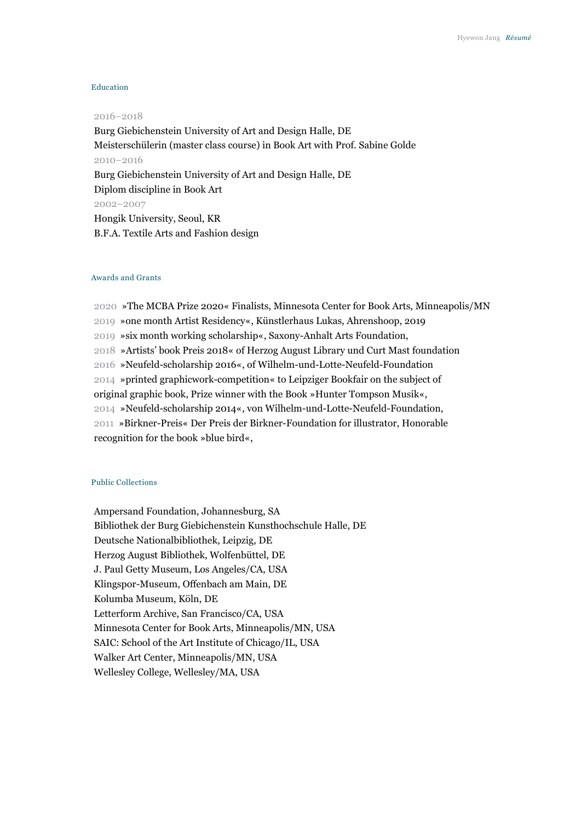### Education

#### 2016−2018

Burg Giebichenstein University of Art and Design Halle, DE Meisterschülerin (master class course) in Book Art with Prof. Sabine Golde 2010−2016 Burg Giebichenstein University of Art and Design Halle, DE Diplom discipline in Book Art 2002−2007 Hongik University, Seoul, KR B.F.A. Textile Arts and Fashion design

# Awards and Grants

2020 »The MCBA Prize 2020« Finalists, Minnesota Center for Book Arts, Minneapolis/MN 2019 »one month Artist Residency«, Künstlerhaus Lukas, Ahrenshoop, 2019 2019 »six month working scholarship«, Saxony-Anhalt Arts Foundation, 2018 »Artists' book Preis 2018« of Herzog August Library und Curt Mast foundation 2016 »Neufeld-scholarship 2016«, of Wilhelm-und-Lotte-Neufeld-Foundation 2014 »printed graphicwork-competition« to Leipziger Bookfair on the subject of original graphic book, Prize winner with the Book »Hunter Tompson Musik«, 2014 »Neufeld-scholarship 2014«, von Wilhelm-und-Lotte-Neufeld-Foundation, 2011 »Birkner-Preis« Der Preis der Birkner-Foundation for illustrator, Honorable recognition for the book »blue bird«,

# Public Collections

Ampersand Foundation, Johannesburg, SA Bibliothek der Burg Giebichenstein Kunsthochschule Halle, DE Deutsche Nationalbibliothek, Leipzig, DE Herzog August Bibliothek, Wolfenbüttel, DE J. Paul Getty Museum, Los Angeles/CA, USA Klingspor-Museum, Offenbach am Main, DE Kolumba Museum, Köln, DE Letterform Archive, San Francisco/CA, USA Minnesota Center for Book Arts, Minneapolis/MN, USA SAIC: School of the Art Institute of Chicago/IL, USA Walker Art Center, Minneapolis/MN, USA Wellesley College, Wellesley/MA, USA